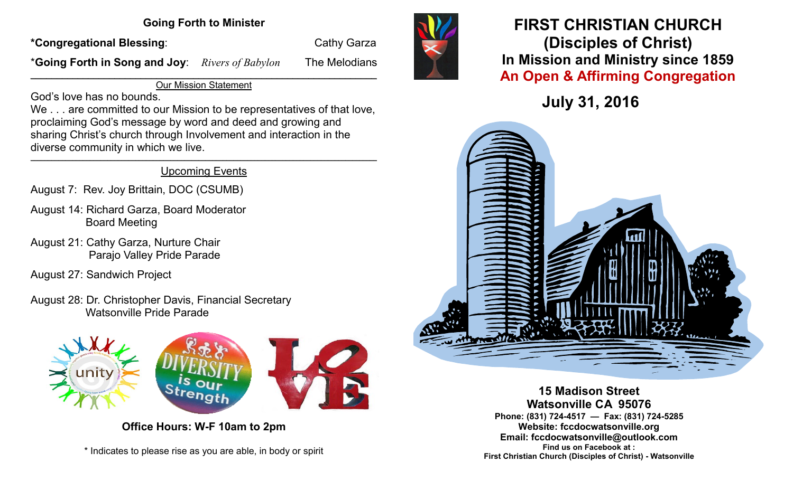### **Going Forth to Minister**

\*Congregational Blessing: The Cathy Garza

\***Going Forth in Song and Joy**:*Rivers of Babylon* The Melodians

 $\overline{\phantom{a}}$  , and the contribution of the contribution of the contribution of the contribution of the contribution of the contribution of the contribution of the contribution of the contribution of the contribution of the Our Mission Statement

God's love has no bounds.

We . . . are committed to our Mission to be representatives of that love, proclaiming God's message by word and deed and growing and sharing Christ's church through Involvement and interaction in the diverse community in which we live.

#### \_\_\_\_\_\_\_\_\_\_\_\_\_\_\_\_\_\_\_\_\_\_\_\_\_\_\_\_\_\_\_\_\_\_\_\_\_\_\_\_\_\_\_\_\_\_\_\_\_\_\_\_\_\_\_\_\_\_\_\_\_\_\_\_\_\_\_\_\_\_\_\_\_\_\_\_\_\_\_\_\_\_\_\_\_\_\_\_\_\_\_\_\_\_\_\_\_\_\_ Upcoming Events

August 7: Rev. Joy Brittain, DOC (CSUMB)

- August 14: Richard Garza, Board Moderator Board Meeting
- August 21: Cathy Garza, Nurture Chair Parajo Valley Pride Parade
- August 27: Sandwich Project
- August 28: Dr. Christopher Davis, Financial Secretary Watsonville Pride Parade



**Office Hours: W-F 10am to 2pm**

\* Indicates to please rise as you are able, in body or spirit



## **FIRST CHRISTIAN CHURCH (Disciples of Christ) In Mission and Ministry since 1859 An Open & Affirming Congregation**

**July 31, 2016**



**15 Madison Street Watsonville CA 95076 Phone: (831) 724-4517 — Fax: (831) 724-5285 Website: fccdocwatsonville.org Email: fccdocwatsonville@outlook.com Find us on Facebook at : First Christian Church (Disciples of Christ) - Watsonville**